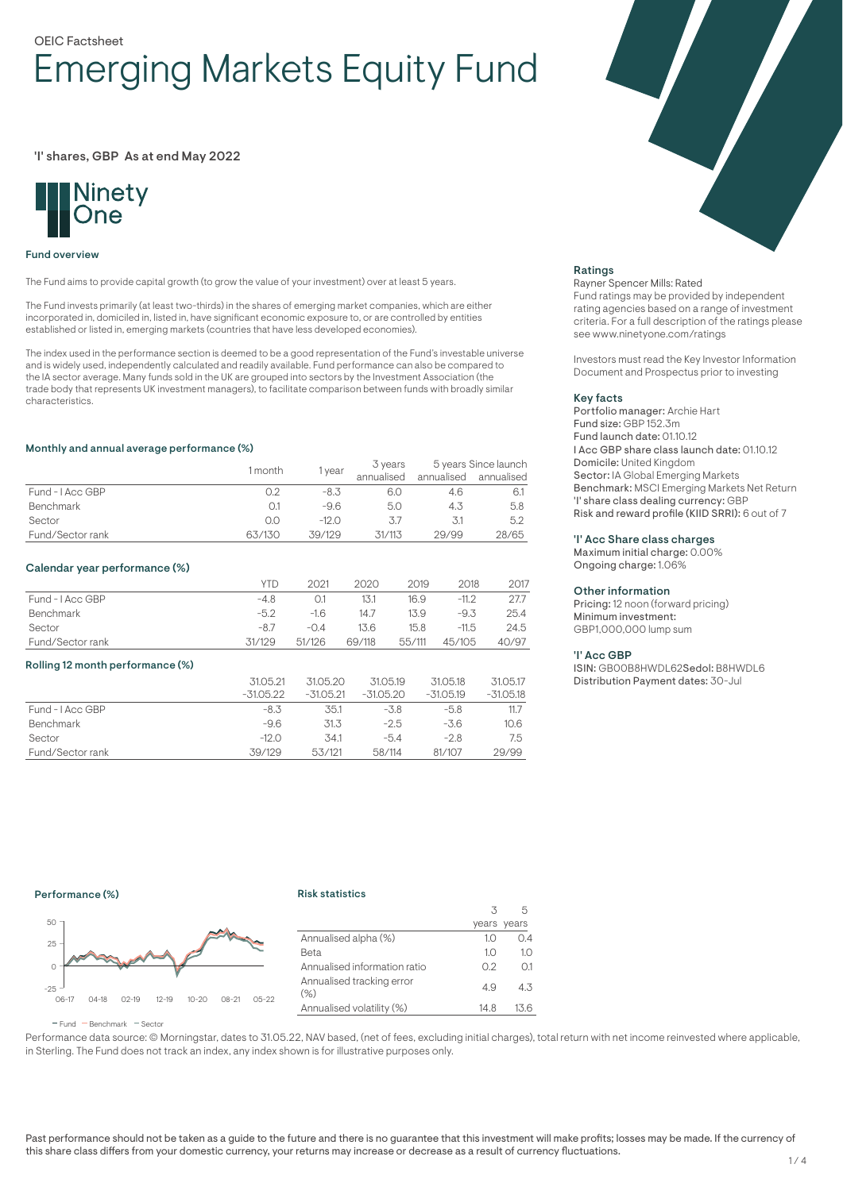# OEIC Factsheet Emerging Markets Equity Fund

# 'I' shares, GBP As at end May 2022



#### Fund overview

The Fund aims to provide capital growth (to grow the value of your investment) over at least 5 years.

The Fund invests primarily (at least two-thirds) in the shares of emerging market companies, which are either incorporated in, domiciled in, listed in, have significant economic exposure to, or are controlled by entities established or listed in, emerging markets (countries that have less developed economies).

The index used in the performance section is deemed to be a good representation of the Fund's investable universe and is widely used, independently calculated and readily available. Fund performance can also be compared to the IA sector average. Many funds sold in the UK are grouped into sectors by the Investment Association (the trade body that represents UK investment managers), to facilitate comparison between funds with broadly similar characteristics.

#### Monthly and annual average performance (%)

|                  | 1 month | vear    | 3 years    | 5 years Since launch |                       |
|------------------|---------|---------|------------|----------------------|-----------------------|
|                  |         |         | annualised |                      | annualised annualised |
| Fund - I Acc GBP |         | -8.3    |            | 4.6                  | 6.1                   |
| Benchmark        |         | $-9.6$  | 5.0        | 4.3                  | 5.8                   |
| Sector           | 0.0     | $-12.0$ |            |                      | 5.2                   |
| Fund/Sector rank | 63/130  | 39/129  | 31/113     | 29/99                | 28/65                 |

#### Calendar year performance (%)

|                  | <b>YTD</b> | 2021   | 2020   | 2019   | 2018    | 2017  |
|------------------|------------|--------|--------|--------|---------|-------|
| Fund - I Acc GBP | $-4.8$     | O.1    | 13.1   | 16.9   | $-11.2$ | 27.7  |
| Benchmark        | $-52$      | $-16$  | 14.7   | 13.9   | $-9.3$  | 25.4  |
| Sector           | $-8.7$     | $-0.4$ | 13.6   | 15.8   | $-11.5$ | 24.5  |
| Fund/Sector rank | 31/129     | 51/126 | 69/118 | 55/111 | 45/105  | 40/97 |

#### Rolling 12 month performance (%)

|                  | 31.05.21<br>$-31.05.22$ | 31.05.20<br>$-31.05.21$ | 31.05.19<br>$-31.05.20$ | 31.05.18<br>$-31.05.19$ | 31.05.17<br>-31.05.18 |
|------------------|-------------------------|-------------------------|-------------------------|-------------------------|-----------------------|
| Fund - LAcc GBP  | -8.3                    | 35.1                    | $-3.8$                  | $-5.8$                  | 11.7                  |
| <b>Benchmark</b> | $-9.6$                  | 31.3                    | $-2.5$                  | -3.6                    | 10.6                  |
| Sector           | $-12.0$                 | 34.1                    | $-5.4$                  | $-2.8$                  | 7.5                   |
| Fund/Sector rank | 39/129                  | 53/121                  | 58/114                  | 81/107                  | 29/99                 |



#### Ratings

#### Rayner Spencer Mills: Rated

Fund ratings may be provided by independent rating agencies based on a range of investment criteria. For a full description of the ratings please see www.ninetyone.com/ratings

Investors must read the Key Investor Information Document and Prospectus prior to investing

#### Key facts

Portfolio manager: Archie Hart Fund size: GBP 152.3m Fund launch date: 01.10.12 I Acc GBP share class launch date: 01.10.12 Domicile: United Kingdom Sector: IA Global Emerging Markets Benchmark: MSCI Emerging Markets Net Return 'I' share class dealing currency: GBP Risk and reward profile (KIID SRRI): 6 out of 7

#### 'I' Acc Share class charges

Maximum initial charge: 0.00% Ongoing charge: 1.06%

#### Other information

Pricing: 12 noon (forward pricing) Minimum investment: GBP1,000,000 lump sum

#### 'I' Acc GBP

ISIN: GB00B8HWDL62Sedol: B8HWDL6 Distribution Payment dates: 30-Jul

### Performance (%)

# Risk statistics



|                                   | 3    |             |
|-----------------------------------|------|-------------|
|                                   |      | years years |
| Annualised alpha (%)              | 10   | 0.4         |
| Beta                              | 1.0  | 1.0         |
| Annualised information ratio      | 02   | 0.1         |
| Annualised tracking error<br>(% ) | 4.9  | 4.3         |
| Annualised volatility (%)         | 14.8 | 13.6        |
|                                   |      |             |

 $F$ und  $B$ Benchmark  $F$ Sector

Performance data source: © Morningstar, dates to 31.05.22, NAV based, (net of fees, excluding initial charges), total return with net income reinvested where applicable, in Sterling. The Fund does not track an index, any index shown is for illustrative purposes only.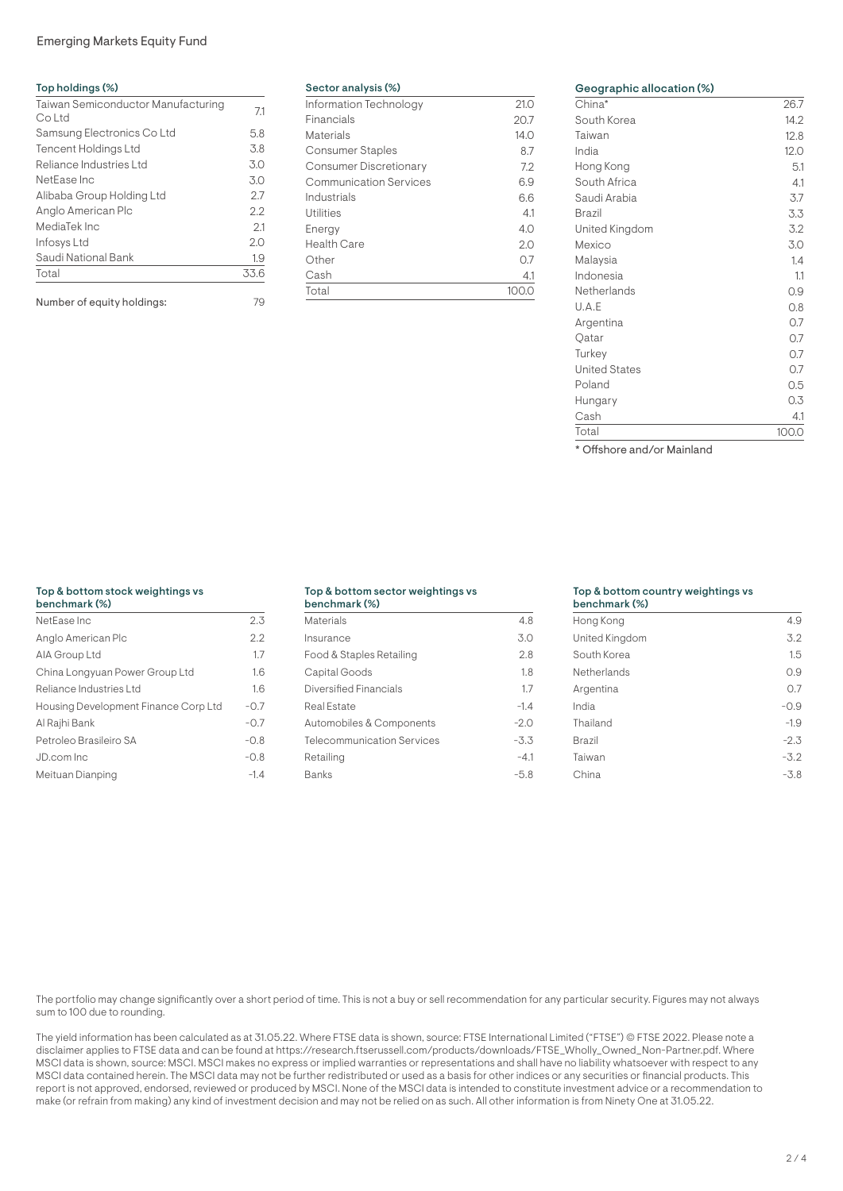# Emerging Markets Equity Fund

| Top holdings (%)                             |      |
|----------------------------------------------|------|
| Taiwan Semiconductor Manufacturing<br>Co Ltd | 7.1  |
| Samsung Electronics Co Ltd                   | 5.8  |
| <b>Tencent Holdings Ltd</b>                  | 3.8  |
| Reliance Industries Ltd                      | 3.0  |
| NetEase Inc                                  | 3.0  |
| Alibaba Group Holding Ltd                    | 2.7  |
| Anglo American Plc                           | 2.2  |
| MediaTek Inc                                 | 2.1  |
| Infosys Ltd                                  | 2.0  |
| Saudi National Bank                          | 1.9  |
| Total                                        | 33.6 |
| Number of eauity holdinas:                   | 79   |

| Sector analysis (%) |  |  |
|---------------------|--|--|
|                     |  |  |

| Information Technology        | 21.0    |
|-------------------------------|---------|
| Financials                    | 20.7    |
| Materials                     | 14.0    |
| <b>Consumer Staples</b>       | 8.7     |
| <b>Consumer Discretionary</b> | 7.2     |
| <b>Communication Services</b> | 6.9     |
| Industrials                   | 6.6     |
| Utilities                     | 4.1     |
| Energy                        | 4.0     |
| Health Care                   | 2.0     |
| Other                         | 0.7     |
| Cash                          | 4.1     |
| Total                         | 1()()() |

| $China^*$            | 26.7  |
|----------------------|-------|
| South Korea          | 14.2  |
| Taiwan               | 12.8  |
| India                | 12.0  |
| Hong Kong            | 5.1   |
| South Africa         | 4.1   |
| Saudi Arabia         | 3.7   |
| <b>Brazil</b>        | 3.3   |
| United Kingdom       | 3.2   |
| Mexico               | 3.0   |
| Malaysia             | 1.4   |
| Indonesia            | 11    |
| Netherlands          | 0.9   |
| U.A.E                | 0.8   |
| Argentina            | 0.7   |
| Qatar                | 0.7   |
| Turkey               | 0.7   |
| <b>United States</b> | 0.7   |
| Poland               | 0.5   |
| Hungary              | 0.3   |
| Cash                 | 4.1   |
| Total                | 100.0 |

\* Offshore and/or Mainland

# Top & bottom stock weightings vs

| benchmark (%)                        |        |
|--------------------------------------|--------|
| NetEase Inc                          | 2.3    |
| Anglo American Plc                   | 2.2    |
| AIA Group Ltd                        | 1.7    |
| China Longyuan Power Group Ltd       | 1.6    |
| Reliance Industries Ltd              | 1.6    |
| Housing Development Finance Corp Ltd | $-0.7$ |
| Al Rajhi Bank                        | $-0.7$ |
| Petroleo Brasileiro SA               | $-0.8$ |
| JD.com Inc                           | $-0.8$ |
| Meituan Dianping                     | $-1.4$ |

# Top & bottom sector weightings vs

| benchmark (%)              |        |
|----------------------------|--------|
| Materials                  | 4.8    |
| Insurance                  | 3.0    |
| Food & Staples Retailing   | 2.8    |
| Capital Goods              | 1.8    |
| Diversified Financials     | 1.7    |
| Real Estate                | $-1.4$ |
| Automobiles & Components   | $-2.0$ |
| Telecommunication Services | $-3.3$ |
| Retailing                  | $-4.1$ |
| <b>Banks</b>               | -5.8   |

# Top & bottom country weightings vs

| 4.9    |
|--------|
| 3.2    |
| 1.5    |
| 0.9    |
| 0.7    |
| $-0.9$ |
| $-1.9$ |
| $-2.3$ |
| $-3.2$ |
| -3.8   |
|        |

The portfolio may change significantly over a short period of time. This is not a buy or sell recommendation for any particular security. Figures may not always sum to 100 due to rounding.

The yield information has been calculated as at 31.05.22. Where FTSE data is shown, source: FTSE International Limited ("FTSE") © FTSE 2022. Please note a disclaimer applies to FTSE data and can be found at https://research.ftserussell.com/products/downloads/FTSE\_Wholly\_Owned\_Non-Partner.pdf. Where MSCI data is shown, source: MSCI. MSCI makes no express or implied warranties or representations and shall have no liability whatsoever with respect to any MSCI data contained herein. The MSCI data may not be further redistributed or used as a basis for other indices or any securities or financial products. This report is not approved, endorsed, reviewed or produced by MSCI. None of the MSCI data is intended to constitute investment advice or a recommendation to make (or refrain from making) any kind of investment decision and may not be relied on as such. All other information is from Ninety One at 31.05.22.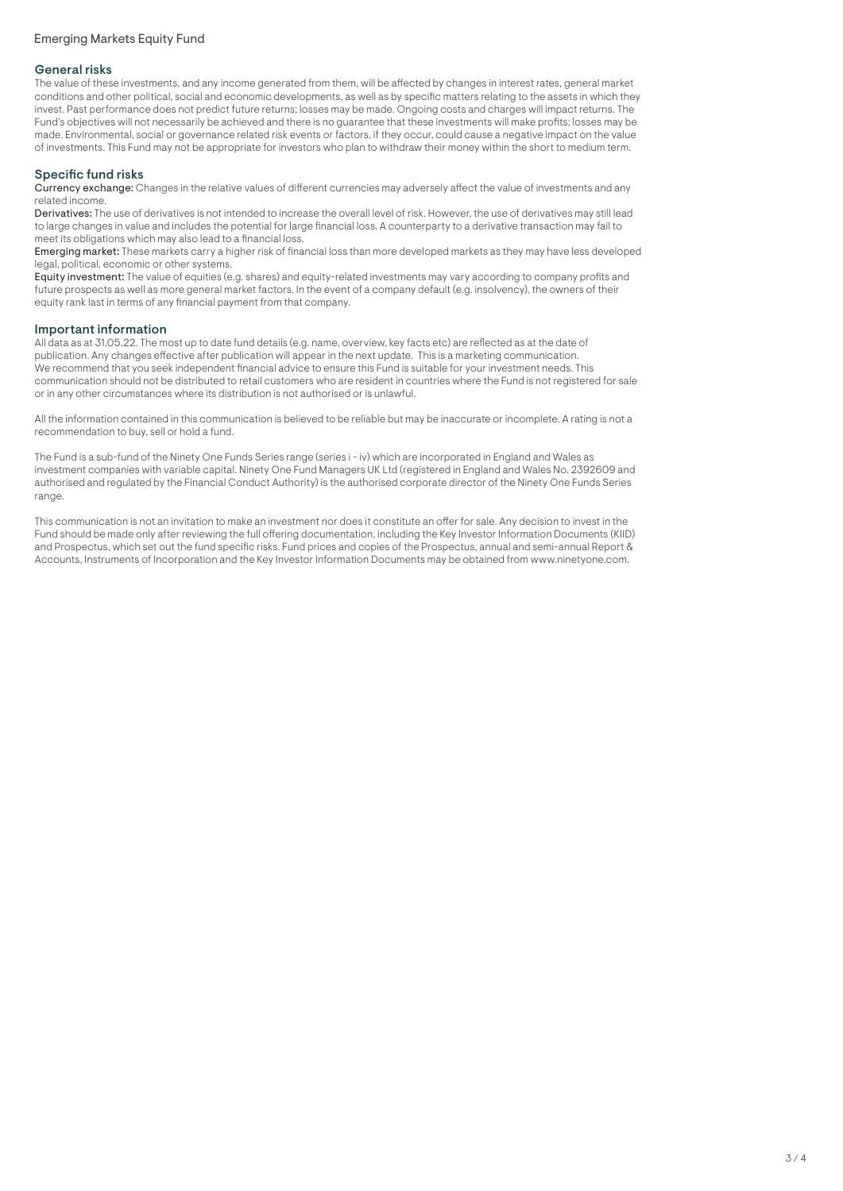# General risks

The value of these investments, and any income generated from them, will be affected by changes in interest rates, general market conditions and other political, social and economic developments, as well as by specific matters relating to the assets in which they invest. Past performance does not predict future returns; losses may be made. Ongoing costs and charges will impact returns. The Fund's objectives will not necessarily be achieved and there is no guarantee that these investments will make profits; losses may be made. Environmental, social or governance related risk events or factors, if they occur, could cause a negative impact on the value of investments. This Fund may not be appropriate for investors who plan to withdraw their money within the short to medium term.

# Specific fund risks

Currency exchange: Changes in the relative values of different currencies may adversely affect the value of investments and any related income.

Derivatives: The use of derivatives is not intended to increase the overall level of risk. However, the use of derivatives may still lead to large changes in value and includes the potential for large financial loss. A counterparty to a derivative transaction may fail to meet its obligations which may also lead to a financial loss.

Emerging market: These markets carry a higher risk of financial loss than more developed markets as they may have less developed legal, political, economic or other systems.

Equity investment: The value of equities (e.g. shares) and equity-related investments may vary according to company profits and future prospects as well as more general market factors. In the event of a company default (e.g. insolvency), the owners of their equity rank last in terms of any financial payment from that company.

# Important information

All data as at 31.05.22. The most up to date fund details (e.g. name, overview, key facts etc) are reflected as at the date of publication. Any changes effective after publication will appear in the next update. This is a marketing communication. We recommend that you seek independent financial advice to ensure this Fund is suitable for your investment needs. This communication should not be distributed to retail customers who are resident in countries where the Fund is not registered for sale or in any other circumstances where its distribution is not authorised or is unlawful.

All the information contained in this communication is believed to be reliable but may be inaccurate or incomplete. A rating is not a recommendation to buy, sell or hold a fund.

The Fund is a sub-fund of the Ninety One Funds Series range (series i - iv) which are incorporated in England and Wales as investment companies with variable capital. Ninety One Fund Managers UK Ltd (registered in England and Wales No. 2392609 and authorised and regulated by the Financial Conduct Authority) is the authorised corporate director of the Ninety One Funds Series range.

This communication is not an invitation to make an investment nor does it constitute an offer for sale. Any decision to invest in the Fund should be made only after reviewing the full offering documentation, including the Key Investor Information Documents (KIID) and Prospectus, which set out the fund specific risks. Fund prices and copies of the Prospectus, annual and semi-annual Report & Accounts, Instruments of Incorporation and the Key Investor Information Documents may be obtained from www.ninetyone.com.